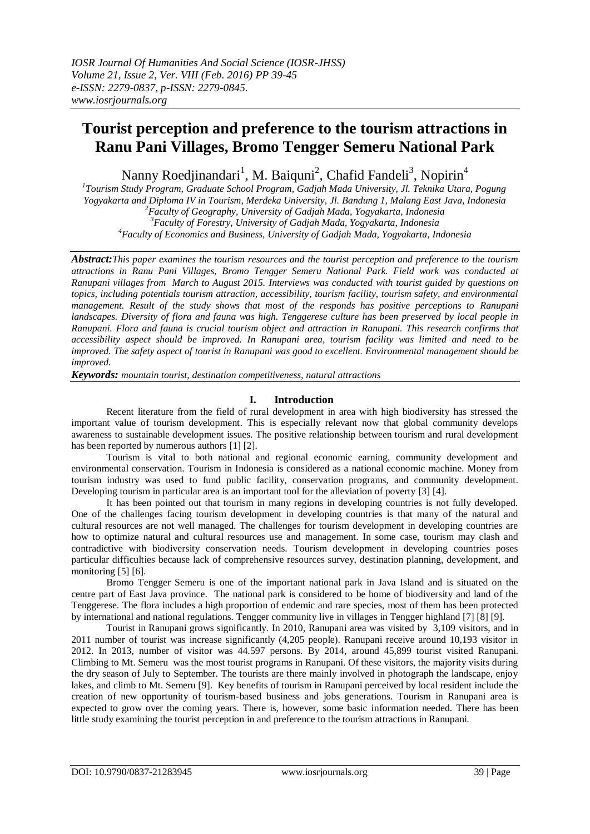# **Tourist perception and preference to the tourism attractions in Ranu Pani Villages, Bromo Tengger Semeru National Park**

Nanny Roedjinandari<sup>1</sup>, M. Baiquni<sup>2</sup>, Chafid Fandeli<sup>3</sup>, Nopirin<sup>4</sup>

 *Tourism Study Program, Graduate School Program, Gadjah Mada University, Jl. Teknika Utara, Pogung Yogyakarta and Diploma IV in Tourism, Merdeka University, Jl. Bandung 1, Malang East Java, Indonesia Faculty of Geography, University of Gadjah Mada, Yogyakarta, Indonesia Faculty of Forestry, University of Gadjah Mada, Yogyakarta, Indonesia Faculty of Economics and Business, University of Gadjah Mada, Yogyakarta, Indonesia*

*Abstract:This paper examines the tourism resources and the tourist perception and preference to the tourism attractions in Ranu Pani Villages, Bromo Tengger Semeru National Park. Field work was conducted at Ranupani villages from March to August 2015. Interviews was conducted with tourist guided by questions on topics, including potentials tourism attraction, accessibility, tourism facility, tourism safety, and environmental management. Result of the study shows that most of the responds has positive perceptions to Ranupani landscapes. Diversity of flora and fauna was high. Tenggerese culture has been preserved by local people in Ranupani. Flora and fauna is crucial tourism object and attraction in Ranupani. This research confirms that accessibility aspect should be improved. In Ranupani area, tourism facility was limited and need to be improved. The safety aspect of tourist in Ranupani was good to excellent. Environmental management should be improved.*

*Keywords: mountain tourist, destination competitiveness, natural attractions*

# **I. Introduction**

Recent literature from the field of rural development in area with high biodiversity has stressed the important value of tourism development. This is especially relevant now that global community develops awareness to sustainable development issues. The positive relationship between tourism and rural development has been reported by numerous authors [1] [2].

Tourism is vital to both national and regional economic earning, community development and environmental conservation. Tourism in Indonesia is considered as a national economic machine. Money from tourism industry was used to fund public facility, conservation programs, and community development. Developing tourism in particular area is an important tool for the alleviation of poverty [3] [4].

It has been pointed out that tourism in many regions in developing countries is not fully developed. One of the challenges facing tourism development in developing countries is that many of the natural and cultural resources are not well managed. The challenges for tourism development in developing countries are how to optimize natural and cultural resources use and management. In some case, tourism may clash and contradictive with biodiversity conservation needs. Tourism development in developing countries poses particular difficulties because lack of comprehensive resources survey, destination planning, development, and monitoring [5] [6].

Bromo Tengger Semeru is one of the important national park in Java Island and is situated on the centre part of East Java province. The national park is considered to be home of biodiversity and land of the Tenggerese. The flora includes a high proportion of endemic and rare species, most of them has been protected by international and national regulations. Tengger community live in villages in Tengger highland [7] [8] [9].

Tourist in Ranupani grows significantly. In 2010, Ranupani area was visited by 3,109 visitors, and in 2011 number of tourist was increase significantly (4,205 people). Ranupani receive around 10,193 visitor in 2012. In 2013, number of visitor was 44.597 persons. By 2014, around 45,899 tourist visited Ranupani. Climbing to Mt. Semeru was the most tourist programs in Ranupani. Of these visitors, the majority visits during the dry season of July to September. The tourists are there mainly involved in photograph the landscape, enjoy lakes, and climb to Mt. Semeru [9]. Key benefits of tourism in Ranupani perceived by local resident include the creation of new opportunity of tourism-based business and jobs generations. Tourism in Ranupani area is expected to grow over the coming years. There is, however, some basic information needed. There has been little study examining the tourist perception in and preference to the tourism attractions in Ranupani.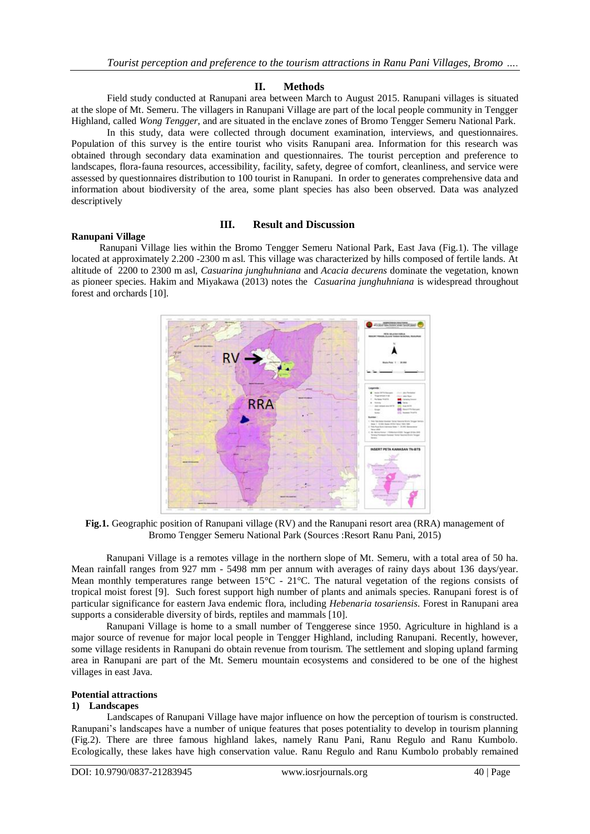## **II. Methods**

Field study conducted at Ranupani area between March to August 2015. Ranupani villages is situated at the slope of Mt. Semeru. The villagers in Ranupani Village are part of the local people community in Tengger Highland, called *Wong Tengger*, and are situated in the enclave zones of Bromo Tengger Semeru National Park.

In this study, data were collected through document examination, interviews, and questionnaires. Population of this survey is the entire tourist who visits Ranupani area. Information for this research was obtained through secondary data examination and questionnaires. The tourist perception and preference to landscapes, flora-fauna resources, accessibility, facility, safety, degree of comfort, cleanliness, and service were assessed by questionnaires distribution to 100 tourist in Ranupani. In order to generates comprehensive data and information about biodiversity of the area, some plant species has also been observed. Data was analyzed descriptively

## **III. Result and Discussion**

## **Ranupani Village**

Ranupani Village lies within the Bromo Tengger Semeru National Park, East Java (Fig.1). The village located at approximately 2.200 -2300 m asl. This village was characterized by hills composed of fertile lands. At altitude of 2200 to 2300 m asl, *Casuarina junghuhniana* and *Acacia decurens* dominate the vegetation, known as pioneer species. Hakim and Miyakawa (2013) notes the *Casuarina junghuhniana* is widespread throughout forest and orchards [10].



**Fig.1.** Geographic position of Ranupani village (RV) and the Ranupani resort area (RRA) management of Bromo Tengger Semeru National Park (Sources :Resort Ranu Pani, 2015)

Ranupani Village is a remotes village in the northern slope of Mt. Semeru, with a total area of 50 ha. Mean rainfall ranges from 927 mm - 5498 mm per annum with averages of rainy days about 136 days/year. Mean monthly temperatures range between  $15^{\circ}$ C - 21<sup>o</sup>C. The natural vegetation of the regions consists of tropical moist forest [9]. Such forest support high number of plants and animals species. Ranupani forest is of particular significance for eastern Java endemic flora, including *Hebenaria tosariensis*. Forest in Ranupani area supports a considerable diversity of birds, reptiles and mammals [10].

Ranupani Village is home to a small number of Tenggerese since 1950. Agriculture in highland is a major source of revenue for major local people in Tengger Highland, including Ranupani. Recently, however, some village residents in Ranupani do obtain revenue from tourism. The settlement and sloping upland farming area in Ranupani are part of the Mt. Semeru mountain ecosystems and considered to be one of the highest villages in east Java.

#### **Potential attractions**

#### **1) Landscapes**

Landscapes of Ranupani Village have major influence on how the perception of tourism is constructed. Ranupani's landscapes have a number of unique features that poses potentiality to develop in tourism planning (Fig.2). There are three famous highland lakes, namely Ranu Pani, Ranu Regulo and Ranu Kumbolo. Ecologically, these lakes have high conservation value. Ranu Regulo and Ranu Kumbolo probably remained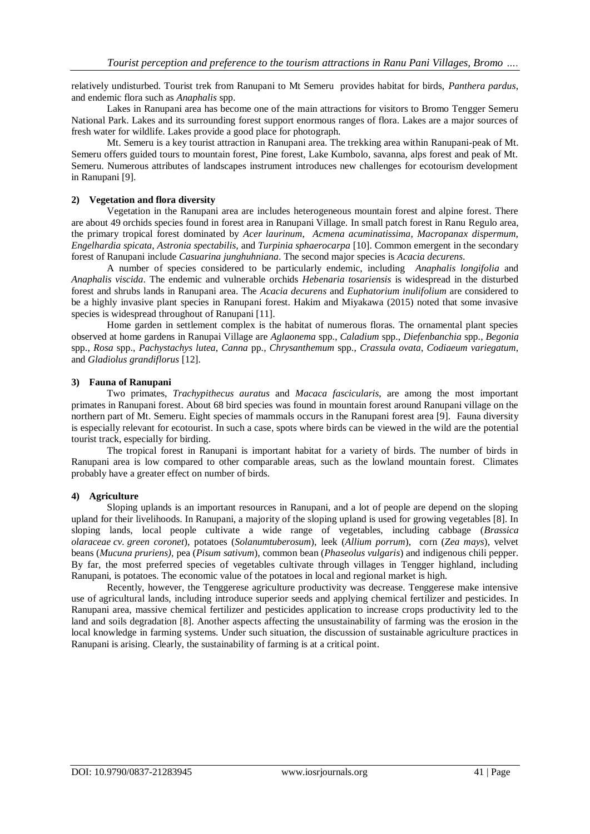relatively undisturbed. Tourist trek from Ranupani to Mt Semeru provides habitat for birds, *Panthera pardus*, and endemic flora such as *Anaphalis* spp.

Lakes in Ranupani area has become one of the main attractions for visitors to Bromo Tengger Semeru National Park. Lakes and its surrounding forest support enormous ranges of flora. Lakes are a major sources of fresh water for wildlife. Lakes provide a good place for photograph.

Mt. Semeru is a key tourist attraction in Ranupani area. The trekking area within Ranupani-peak of Mt. Semeru offers guided tours to mountain forest, Pine forest, Lake Kumbolo, savanna, alps forest and peak of Mt. Semeru. Numerous attributes of landscapes instrument introduces new challenges for ecotourism development in Ranupani [9].

## **2) Vegetation and flora diversity**

Vegetation in the Ranupani area are includes heterogeneous mountain forest and alpine forest. There are about 49 orchids species found in forest area in Ranupani Village. In small patch forest in Ranu Regulo area, the primary tropical forest dominated by *Acer laurinum*, *Acmena acuminatissima*, *Macropanax dispermum, Engelhardia spicata*, *Astronia spectabilis,* and *Turpinia sphaerocarpa* [10]. Common emergent in the secondary forest of Ranupani include *Casuarina junghuhniana*. The second major species is *Acacia decurens*.

A number of species considered to be particularly endemic, including *Anaphalis longifolia* and *Anaphalis viscida*. The endemic and vulnerable orchids *Hebenaria tosariensis* is widespread in the disturbed forest and shrubs lands in Ranupani area. The *Acacia decurens* and *Euphatorium inulifolium* are considered to be a highly invasive plant species in Ranupani forest. Hakim and Miyakawa (2015) noted that some invasive species is widespread throughout of Ranupani [11].

Home garden in settlement complex is the habitat of numerous floras. The ornamental plant species observed at home gardens in Ranupai Village are *Aglaonema* spp., *Caladium* spp., *Diefenbanchia* spp., *Begonia*  spp., *Rosa* spp., *Pachystachys lutea*, *Canna* pp., *Chrysanthemum* spp., *Crassula ovata*, *Codiaeum variegatum*, and *Gladiolus grandiflorus* [12].

## **3) Fauna of Ranupani**

Two primates, *Trachypithecus auratus* and *Macaca fascicularis*, are among the most important primates in Ranupani forest. About 68 bird species was found in mountain forest around Ranupani village on the northern part of Mt. Semeru. Eight species of mammals occurs in the Ranupani forest area [9]. Fauna diversity is especially relevant for ecotourist. In such a case, spots where birds can be viewed in the wild are the potential tourist track, especially for birding.

The tropical forest in Ranupani is important habitat for a variety of birds. The number of birds in Ranupani area is low compared to other comparable areas, such as the lowland mountain forest. Climates probably have a greater effect on number of birds.

# **4) Agriculture**

Sloping uplands is an important resources in Ranupani, and a lot of people are depend on the sloping upland for their livelihoods. In Ranupani, a majority of the sloping upland is used for growing vegetables [8]. In sloping lands, local people cultivate a wide range of vegetables, including cabbage (*Brassica olaraceae cv. green coronet*), potatoes (*Solanumtuberosum*), leek (*Allium porrum*), corn (*Zea mays*), velvet beans (*Mucuna pruriens),* pea (*Pisum sativum*), common bean (*Phaseolus vulgaris*) and indigenous chili pepper. By far, the most preferred species of vegetables cultivate through villages in Tengger highland, including Ranupani, is potatoes. The economic value of the potatoes in local and regional market is high.

Recently, however, the Tenggerese agriculture productivity was decrease. Tenggerese make intensive use of agricultural lands, including introduce superior seeds and applying chemical fertilizer and pesticides. In Ranupani area, massive chemical fertilizer and pesticides application to increase crops productivity led to the land and soils degradation [8]. Another aspects affecting the unsustainability of farming was the erosion in the local knowledge in farming systems. Under such situation, the discussion of sustainable agriculture practices in Ranupani is arising. Clearly, the sustainability of farming is at a critical point.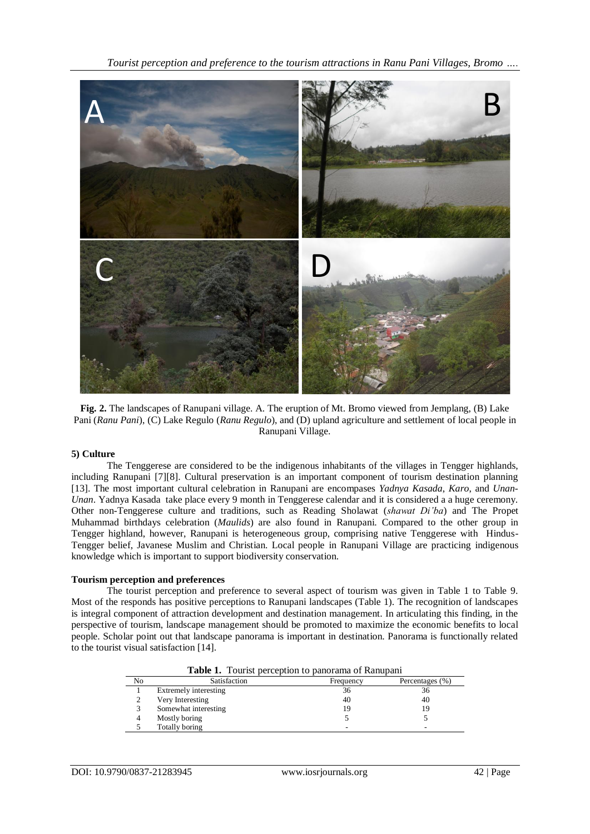*Tourist perception and preference to the tourism attractions in Ranu Pani Villages, Bromo ….*



**Fig. 2.** The landscapes of Ranupani village. A. The eruption of Mt. Bromo viewed from Jemplang, (B) Lake Pani (*Ranu Pani*), (C) Lake Regulo (*Ranu Regulo*), and (D) upland agriculture and settlement of local people in Ranupani Village.

## **5) Culture**

The Tenggerese are considered to be the indigenous inhabitants of the villages in Tengger highlands, including Ranupani [7][8]. Cultural preservation is an important component of tourism destination planning [13]. The most important cultural celebration in Ranupani are encompases *Yadnya Kasada*, *Karo*, and *Unan-Unan*. Yadnya Kasada take place every 9 month in Tenggerese calendar and it is considered a a huge ceremony. Other non-Tenggerese culture and traditions, such as Reading Sholawat (*shawat Di'ba*) and The Propet Muhammad birthdays celebration (*Maulids*) are also found in Ranupani. Compared to the other group in Tengger highland, however, Ranupani is heterogeneous group, comprising native Tenggerese with Hindus-Tengger belief, Javanese Muslim and Christian. Local people in Ranupani Village are practicing indigenous knowledge which is important to support biodiversity conservation.

## **Tourism perception and preferences**

The tourist perception and preference to several aspect of tourism was given in Table 1 to Table 9. Most of the responds has positive perceptions to Ranupani landscapes (Table 1). The recognition of landscapes is integral component of attraction development and destination management. In articulating this finding, in the perspective of tourism, landscape management should be promoted to maximize the economic benefits to local people. Scholar point out that landscape panorama is important in destination. Panorama is functionally related to the tourist visual satisfaction [14].

| <b>Table 1.</b> Tourist perception to panorama of Ranupani |                                              |    |    |  |  |
|------------------------------------------------------------|----------------------------------------------|----|----|--|--|
| No                                                         | Satisfaction<br>Percentages (%)<br>Frequency |    |    |  |  |
|                                                            | Extremely interesting                        | 36 | 36 |  |  |
|                                                            | Very Interesting                             | 40 | 40 |  |  |
|                                                            | Somewhat interesting                         | 19 | 19 |  |  |
| 4                                                          | Mostly boring                                |    |    |  |  |
|                                                            | Totally boring                               |    | -  |  |  |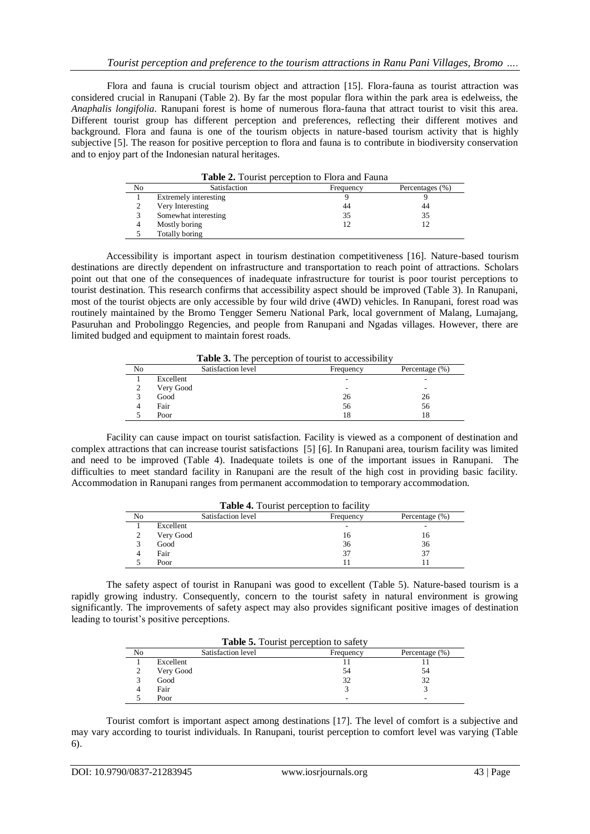Flora and fauna is crucial tourism object and attraction [15]. Flora-fauna as tourist attraction was considered crucial in Ranupani (Table 2). By far the most popular flora within the park area is edelweiss, the *Anaphalis longifolia*. Ranupani forest is home of numerous flora-fauna that attract tourist to visit this area. Different tourist group has different perception and preferences, reflecting their different motives and background. Flora and fauna is one of the tourism objects in nature-based tourism activity that is highly subjective [5]. The reason for positive perception to flora and fauna is to contribute in biodiversity conservation and to enjoy part of the Indonesian natural heritages.

| <b>Table 2.</b> Tourist perception to Flora and Fauna |                       |           |                 |  |
|-------------------------------------------------------|-----------------------|-----------|-----------------|--|
| No                                                    | Satisfaction          | Frequency | Percentages (%) |  |
|                                                       | Extremely interesting |           |                 |  |
| $\mathcal{L}$                                         | Very Interesting      | 44        | 44              |  |
|                                                       | Somewhat interesting  | 35        | 35              |  |
| 4                                                     | Mostly boring         |           |                 |  |
|                                                       | Totally boring        |           |                 |  |

Accessibility is important aspect in tourism destination competitiveness [16]. Nature-based tourism destinations are directly dependent on infrastructure and transportation to reach point of attractions. Scholars point out that one of the consequences of inadequate infrastructure for tourist is poor tourist perceptions to tourist destination. This research confirms that accessibility aspect should be improved (Table 3). In Ranupani, most of the tourist objects are only accessible by four wild drive (4WD) vehicles. In Ranupani, forest road was routinely maintained by the Bromo Tengger Semeru National Park, local government of Malang, Lumajang, Pasuruhan and Probolinggo Regencies, and people from Ranupani and Ngadas villages. However, there are limited budged and equipment to maintain forest roads.

**Table 3.** The perception of tourist to accessibility

| No | Satisfaction level | Frequency | Percentage (%) |
|----|--------------------|-----------|----------------|
|    | Excellent          | ۰         |                |
|    | Very Good          | ۰         | -              |
|    | Good               | 26        | 26             |
|    | Fair               | 56        | 56             |
|    | Poor               | 18        | 18             |

Facility can cause impact on tourist satisfaction. Facility is viewed as a component of destination and complex attractions that can increase tourist satisfactions [5] [6]. In Ranupani area, tourism facility was limited and need to be improved (Table 4). Inadequate toilets is one of the important issues in Ranupani. The difficulties to meet standard facility in Ranupani are the result of the high cost in providing basic facility. Accommodation in Ranupani ranges from permanent accommodation to temporary accommodation.

| <b>Table 4.</b> Tourist perception to facility |                    |           |                   |  |
|------------------------------------------------|--------------------|-----------|-------------------|--|
| No                                             | Satisfaction level | Frequency | Percentage $(\%)$ |  |
|                                                | Excellent          |           |                   |  |
|                                                | Very Good          | 16        | 16                |  |
|                                                | Good               | 36        | 36                |  |
|                                                | Fair               | 37        | 37                |  |
|                                                | Poor               |           |                   |  |

The safety aspect of tourist in Ranupani was good to excellent (Table 5). Nature-based tourism is a rapidly growing industry. Consequently, concern to the tourist safety in natural environment is growing significantly. The improvements of safety aspect may also provides significant positive images of destination leading to tourist's positive perceptions.

| Table 5. Tourist perception to safety |                    |           |                   |  |
|---------------------------------------|--------------------|-----------|-------------------|--|
| No                                    | Satisfaction level | Frequency | Percentage $(\%)$ |  |
|                                       | Excellent          |           |                   |  |
|                                       | Very Good          | 54        | 54                |  |
|                                       | Good               | 32        | 32                |  |
|                                       | Fair               |           |                   |  |
|                                       | Poor               |           |                   |  |

Tourist comfort is important aspect among destinations [17]. The level of comfort is a subjective and may vary according to tourist individuals. In Ranupani, tourist perception to comfort level was varying (Table 6).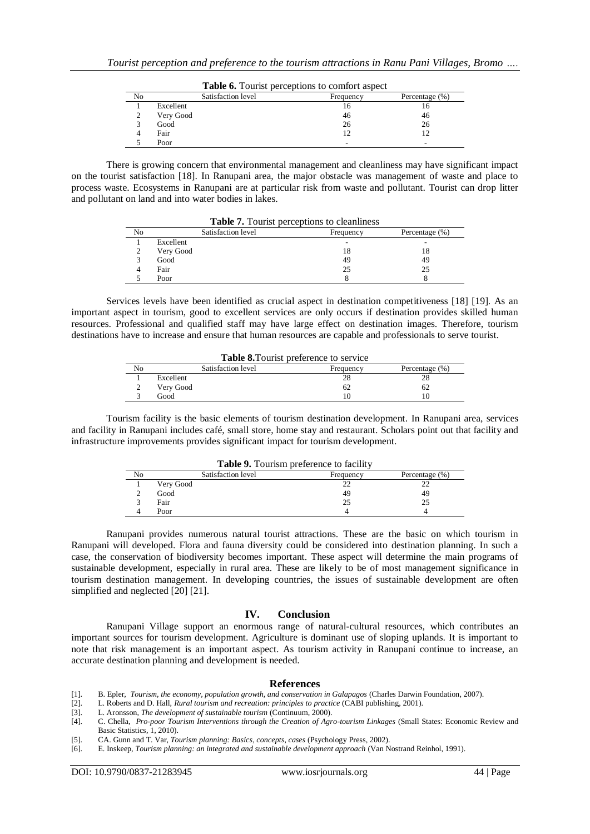| <b>Table 6.</b> Tourist perceptions to comfort aspect |           |                    |           |                   |
|-------------------------------------------------------|-----------|--------------------|-----------|-------------------|
| No                                                    |           | Satisfaction level | Frequency | Percentage $(\%)$ |
|                                                       | Excellent |                    | 16        |                   |
|                                                       | Very Good |                    | 46        | 46                |
|                                                       | Good      |                    | 26        | 26                |
|                                                       | Fair      |                    | 12        |                   |
|                                                       | Poor      |                    | -         |                   |

There is growing concern that environmental management and cleanliness may have significant impact on the tourist satisfaction [18]. In Ranupani area, the major obstacle was management of waste and place to process waste. Ecosystems in Ranupani are at particular risk from waste and pollutant. Tourist can drop litter and pollutant on land and into water bodies in lakes.

| <b>Table 7.</b> Fourist perceptions to cleanliness |                    |           |                |
|----------------------------------------------------|--------------------|-----------|----------------|
| No                                                 | Satisfaction level | Frequency | Percentage (%) |
|                                                    | Excellent          | -         | ٠              |
|                                                    | Very Good          | 18        | 18             |
|                                                    | Good               | 49        | 49             |
|                                                    | Fair               | 25        | 25             |
|                                                    | Poor               |           |                |

**Table 7.** Tourist perceptions to cleanliness

Services levels have been identified as crucial aspect in destination competitiveness [18] [19]. As an important aspect in tourism, good to excellent services are only occurs if destination provides skilled human resources. Professional and qualified staff may have large effect on destination images. Therefore, tourism destinations have to increase and ensure that human resources are capable and professionals to serve tourist.

| <b>Table 8.</b> Tourist preference to service |           |                    |           |                   |
|-----------------------------------------------|-----------|--------------------|-----------|-------------------|
| No                                            |           | Satisfaction level | Frequency | Percentage $(\%)$ |
|                                               | Excellent |                    | 28        |                   |
|                                               | Very Good |                    | 62        | 62                |
|                                               | Good      |                    |           |                   |

Tourism facility is the basic elements of tourism destination development. In Ranupani area, services and facility in Ranupani includes café, small store, home stay and restaurant. Scholars point out that facility and infrastructure improvements provides significant impact for tourism development.

| <b>Table 9.</b> Tourism preference to facility |                    |           |                |  |
|------------------------------------------------|--------------------|-----------|----------------|--|
| No                                             | Satisfaction level | Frequency | Percentage (%) |  |
|                                                | Very Good          | 22        |                |  |
|                                                | Good               | 49        | 49             |  |
|                                                | Fair               | 25        |                |  |
|                                                | Poor               |           |                |  |

Ranupani provides numerous natural tourist attractions. These are the basic on which tourism in Ranupani will developed. Flora and fauna diversity could be considered into destination planning. In such a case, the conservation of biodiversity becomes important. These aspect will determine the main programs of sustainable development, especially in rural area. These are likely to be of most management significance in tourism destination management. In developing countries, the issues of sustainable development are often simplified and neglected [20] [21].

#### **IV. Conclusion**

Ranupani Village support an enormous range of natural-cultural resources, which contributes an important sources for tourism development. Agriculture is dominant use of sloping uplands. It is important to note that risk management is an important aspect. As tourism activity in Ranupani continue to increase, an accurate destination planning and development is needed.

#### **References**

[1]. B. Epler, *Tourism, the economy, population growth, and conservation in Galapagos* (Charles Darwin Foundation, 2007).

[2]. L. Roberts and D. Hall, *Rural tourism and recreation: principles to practice* (CABI publishing, 2001).

[3]. L. Aronsson, *The development of sustainable tourism* (Continuum, 2000).

[5]. CA. Gunn and T. Var, *Tourism planning: Basics, concepts, cases* (Psychology Press, 2002).

[6]. E. Inskeep, *Tourism planning: an integrated and sustainable development approach* (Van Nostrand Reinhol, 1991).

<sup>[4].</sup> C. Chella, *Pro-poor Tourism Interventions through the Creation of Agro-tourism Linkages* (Small States: Economic Review and Basic Statistics, 1, 2010).